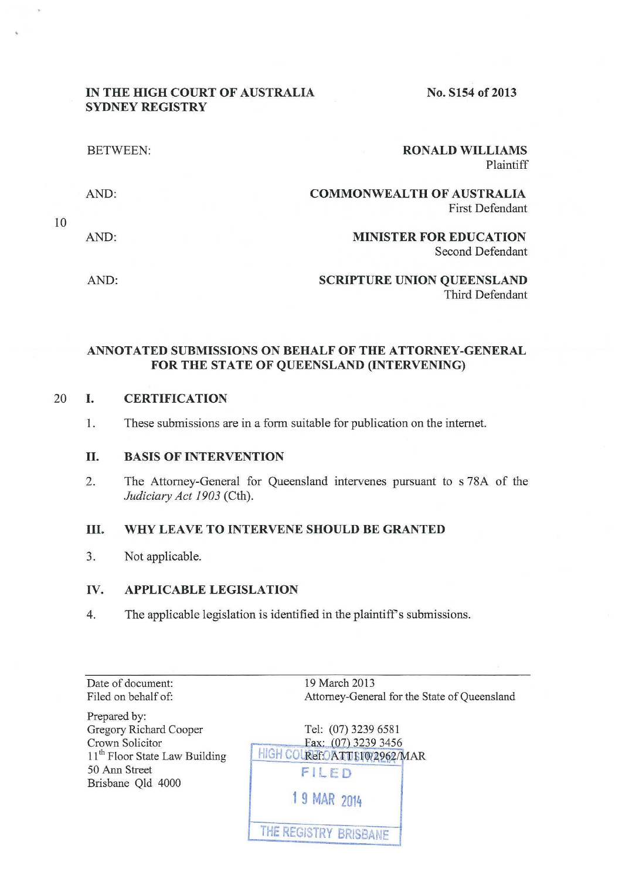### IN THE HIGH COURT OF AUSTRALIA SYDNEY REGISTRY

No. S154 of 2013

| <b>RONALD WILLIAMS</b><br>Plaintiff                        | <b>BETWEEN:</b> |
|------------------------------------------------------------|-----------------|
| <b>COMMONWEALTH OF AUSTRALIA</b><br><b>First Defendant</b> | AND:            |
| <b>MINISTER FOR EDUCATION</b><br>Second Defendant          | AND:            |
| <b>SCRIPTURE UNION QUEENSLAND</b><br>Third Defendant       | AND:            |

### ANNOTATED SUBMISSIONS ON BEHALF OF THE ATTORNEY-GENERAL FOR THE STATE OF QUEENSLAND (INTERVENING)

### 20 I. CERTIFICATION

1. These submissions are in a form suitable for publication on the internet.

### II. BASIS OF INTERVENTION

2. The Attorney-General for Queensland intervenes pursuant to s 78A of the *Judiciary Act 1903* (Cth).

### III. WHY LEAVE TO INTERVENE SHOULD BE GRANTED

3. Not applicable.

### IV. APPLICABLE LEGISLATION

4. The applicable legislation is identified in the plaintiff's submissions.

Date of document: Filed on behalf of:

19 March 2013 Attorney-General for the State of Queensland

Prepared by: Gregory Richard Cooper Crown Solicitor 11<sup>th</sup> Floor State Law Building 50 Ann Street Brisbane Qld 4000

| Tel: (07) 3239 6581<br>Fax: (07) 3239 3456 |
|--------------------------------------------|
| HIGH COUREFOATTE10/2962/MAR                |
| FILED                                      |
| 1 9 MAR 2014                               |
| THE REGISTRY BRISBANE                      |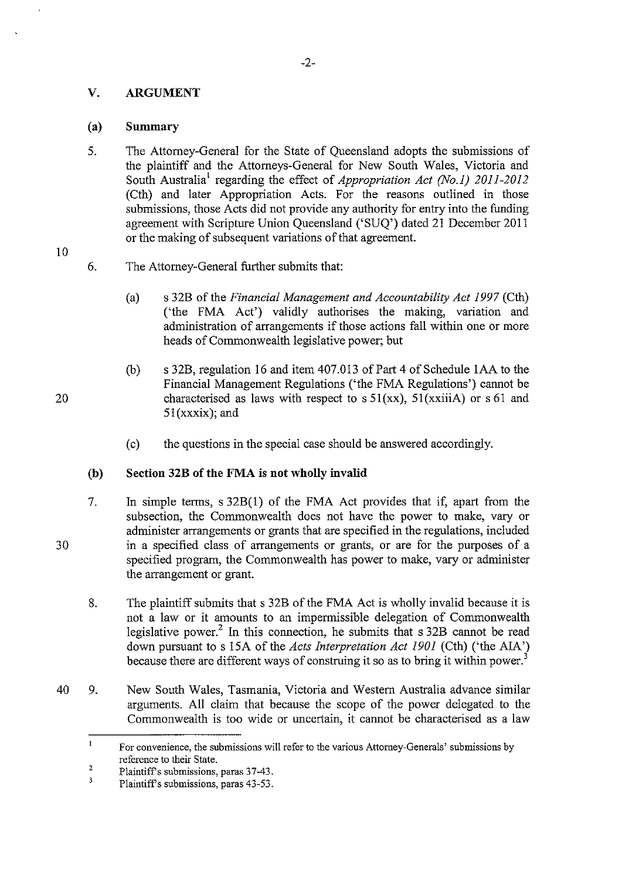### **V. ARGUMENT**

### (a) **Summary**

- 5. The Attorney-General for the State of Queensland adopts the submissions of the plaintiff and the Attorneys-General for New South Wales, Victoria and South Australia<sup>1</sup> regarding the effect of *Appropriation Act (No.1) 2011-2012* (Cth) and later Appropriation Acts. For the reasons outlined in those submissions, those Acts did not provide any authority for entry into the funding agreement with Scripture Union Queensland ('SUQ') dated 21 December 2011 or the making of subsequent variations of that agreement.
- 10
- 6. The Attorney-General further submits that:
	- (a) s 32B of the *Financial Management and Accountability Act 1997* (Cth) ('the FMA Act') validly authorises the making, variation and administration of arrangements if those actions fall within one or more heads of Commonwealth legislative power; but
	- (b) s 32B, regulation 16 and item  $407.013$  of Part 4 of Schedule 1AA to the Financial Management Regulations ('the FMA Regulations') cannot be characterised as laws with respect to  $s 51(xx)$ ,  $51(xxii)$  or  $s 61$  and Sl(xxxix); and
	- (c) the questions in the special case should be answered accordingly.

## **(b) Section 32B of the FMA is not wholly invalid**

- 7. In simple terms, s 32B(l) of the FMA Act provides that if, apart from the subsection, the Commonwealth does not have the power to make, vary or administer arrangements or grants that are specified in the regulations, included in a specified class of arrangements or grants, or are for the purposes of a specified program, the Commonwealth has power to make, vary or administer the arrangement or grant.
- 8. The plaintiff submits that s 32B of the FMA Act is wholly invalid because it is not a law or it amounts to an impermissible delegation of Commonwealth legislative power.<sup>2</sup> In this connection, he submits that s 32B cannot be read down pursuant to s 15A of the *Acts Interpretation Act 1901* (Cth) ('the AlA') because there are different ways of construing it so as to bring it within power.<sup>3</sup>
- 40 9. New South Wales, Tasmania, Victoria and Western Australia advance similar arguments. All claim that because the scope of the power delegated to the Commonwealth is too wide or uncertain, it cannot be characterised as a law

20

 $\mathbf{I}$ **For convenience, the submissions will refer to the various Attorney-Generals' submissions by**  reference to their State.

<sup>2</sup>  Plaintiff's submissions, paras 37-43.

 $\overline{\mathbf{3}}$ Plaintiff's submissions, paras 43-53.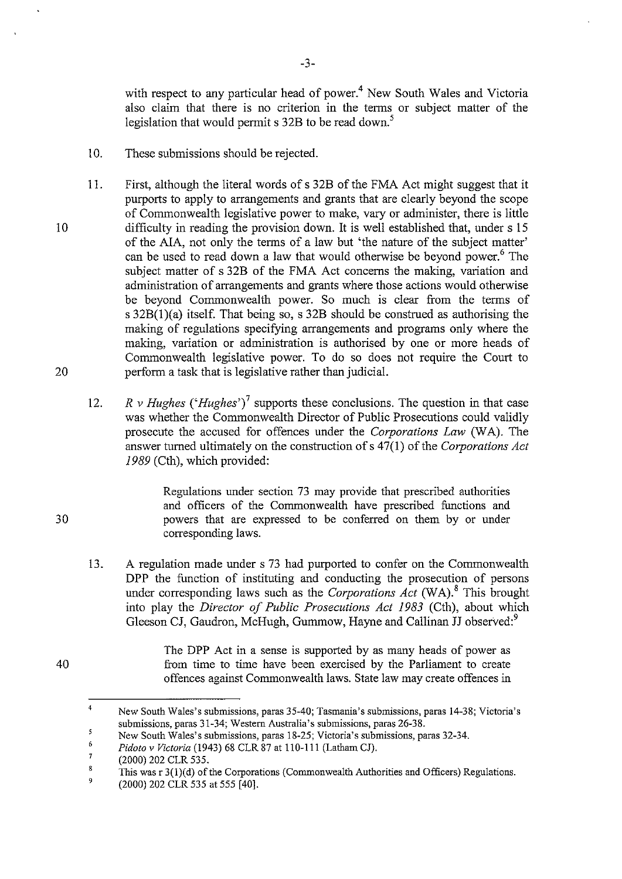with respect to any particular head of power.<sup>4</sup> New South Wales and Victoria also claim that there is no criterion in the terms or subject matter of the legislation that would permit  $s$  32B to be read down.<sup>5</sup>

10. These submissions should be rejected.

10

20

30

40

- II. First, although the literal words of s 32B of the FMA Act might suggest that it purports to apply to arrangements and grants that are clearly beyond the scope of Commonwealth legislative power to make, vary or administer, there is little difficulty in reading the provision down. It is well established that, under s 15 of the AlA, not only the terms of a law but 'the nature of the subject matter' can be used to read down a law that would otherwise be beyond power.<sup>6</sup> The subject matter of s 32B of the FMA Act concerns the making, variation and administration of arrangements and grants where those actions would otherwise be beyond Commonwealth power. So much is clear from the terms of s  $32B(1)(a)$  itself. That being so, s  $32B$  should be construed as authorising the making of regulations specifying arrangements and programs only where the making, variation or administration is authorised by one or more heads of Commonwealth legislative power. To do so does not require the Court to perform a task that is legislative rather than judicial.
	- 12. *R v Hughes ('Hughes')*<sup>7</sup> supports these conclusions. The question in that case was whether the Commonwealth Director of Public Prosecutions could validly prosecute the accused for offences under the *Corporations Law* (WA). The answer turned ultimately on the construction ofs 47(1) of the *Corporations Act 1989* (Cth), which provided:

Regulations under section 73 may provide that prescribed authorities and officers of the Commonwealth have prescribed functions and powers that are expressed to be conferred on them by or under corresponding laws.

13. A regulation made under s 73 had purported to confer on the Commonwealth DPP the function of instituting and conducting the prosecution of persons under corresponding laws such as the *Corporations Act* (WA).8 This brought into play the *Director of Public Prosecutions Act 1983* (Cth), about which Gleeson CJ, Gaudron, McHugh, Gummow, Hayne and Callinan JJ observed:<sup>9</sup>

> The DPP Act in a sense is supported by as many heads of power as from time to time have been exercised by the Parliament to create offences against Commonwealth laws. State law may create offences in

<sup>4</sup>  **New South Wales's submissions, paras 35-40; Tasmania's submissions, paras 14-38; Victoria's**  submissions, paras 31-34; Western Australia's submissions, paras 26-38.

 $\overline{5}$ New South Wales's submissions, paras 18-25; Victoria's submissions, paras 32-34.

<sup>6</sup>  *Pidoto v Victoria* (1943) 68 CLR 87 at 110-111 (Latham CJ).

<sup>7</sup>  (2000) 202 CLR 535.

<sup>8</sup>  9 This was r 3(l)(d) of the Corporations (Commonwealth Authorities and Officers) Regulations.

<sup>(2000) 202</sup> CLR 535 at 555 [40].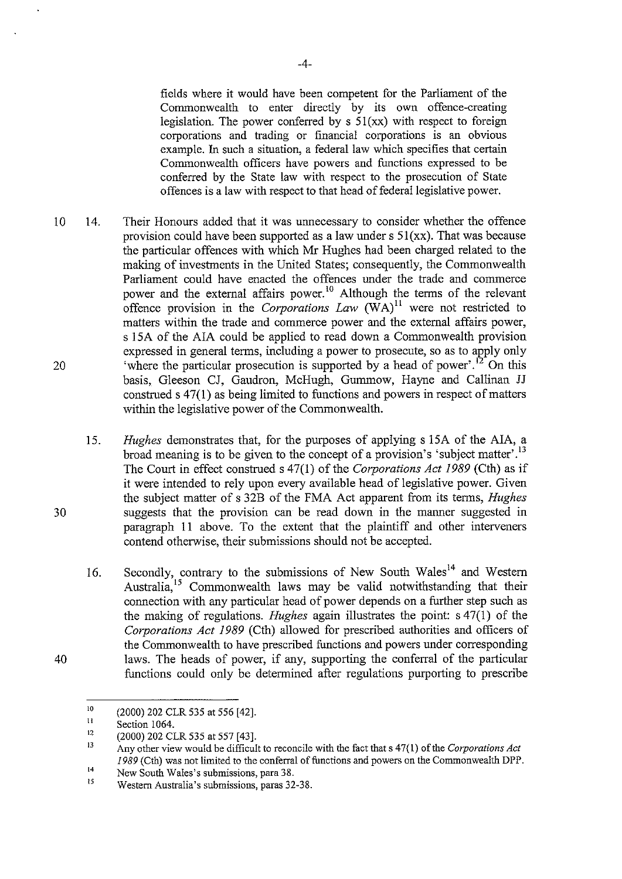fields where it would have been competent for the Parliament of the Commonwealth to enter directly by its own offence-creating legislation. The power conferred by  $s \frac{5l(x)}{x}$  with respect to foreign corporations and trading or financial corporations is an obvious example. In such a situation, a federal law which specifies that certain Commonwealth officers have powers and functions expressed to be conferred by the State law with respect to the prosecution of State offences is a law with respect to that head of federal legislative power.

- 10 20 14. Their Honours added that it was unnecessary to consider whether the offence provision could have been supported as a law under  $s \, 51$ (xx). That was because the particular offences with which Mr Hughes had been charged related to the making of investments in the United States; consequently, the Commonwealth Parliament could have enacted the offences under the trade and commerce power and the external affairs power. 10 Although the terms of the relevant offence provision in the *Corporations Law*  $(WA)^{11}$  were not restricted to matters within the trade and commerce power and the external affairs power, s 15A of the AIA could be applied to read down a Commonwealth provision expressed in general terms, including a power to prosecute, so as to apply only 'where the particular prosecution is supported by a head of power'. 12 On this basis, Gleeson CJ, Gaudron, McHugh, Gurnmow, Hayne and Callinan JJ construed s 47(1) as being limited to functions and powers in respect of matters within the legislative power of the Commonwealth.
	- 15. *Hughes* demonstrates that, for the purposes of applying s !SA of the AlA, a broad meaning is to be given to the concept of a provision's 'subject matter'.<sup>13</sup> The Court in effect construed s 47(1) of the *Corporations Act 1989* (Cth) as if it were intended to rely upon every available head of legislative power. Given the subject matter of s 32B of the FMA Act apparent from its terms, *Hughes*  suggests that the provision can be read down in the manner suggested in paragraph II above. To the extent that the plaintiff and other interveners contend otherwise, their submissions should not be accepted.
	- 16. Secondly, contrary to the submissions of New South Wales<sup>14</sup> and Western Australia,<sup>15</sup> Commonwealth laws may be valid notwithstanding that their connection with any particular head of power depends on a further step such as the making of regulations. *Hughes* again illustrates the point: s 47(1) of the *Corporations Act 1989* (Cth) allowed for prescribed authorities and officers of the Commonwealth to have prescribed functions and powers under corresponding laws. The heads of power, if any, supporting the conferral of the particular functions could only be determined after regulations purporting to prescribe

30

<sup>10</sup>  (2000) 202 CLR 535 at 556 [42].

II Section 1064.

<sup>12</sup>  (2000) 202 CLR 535 at 557 [43].

<sup>13</sup>  14 Any other view would be difficult to reconcile with the fact that s 47(1) of the *Corporations Act 1989* (Cth) was not limited to the conferral of functions and powers on the Commonwealth DPP.

<sup>15</sup>  New South Wales's submissions, para 38.

Western Australia's submissions, paras 32-38.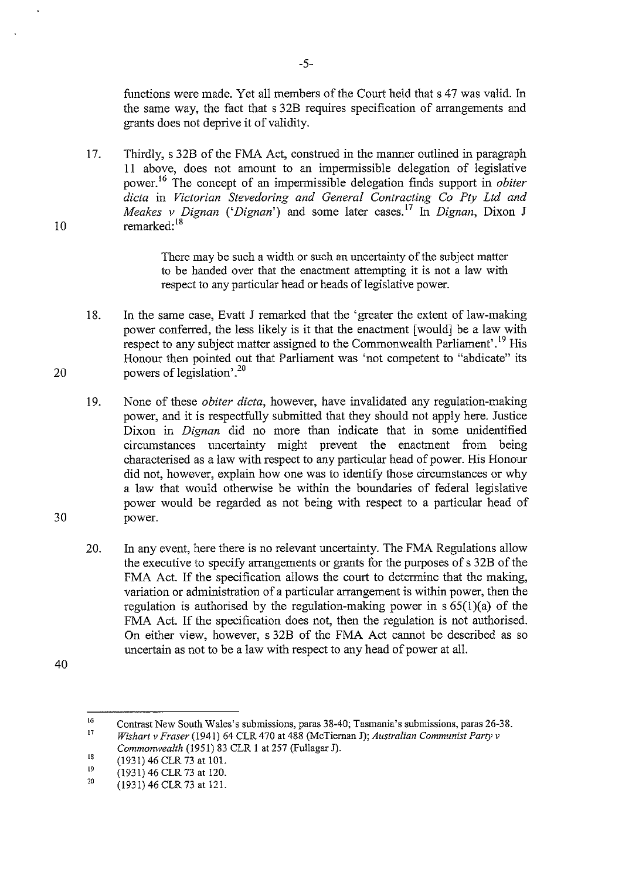functions were made. Yet all members of the Court held that s 47 was valid. In the same way, the fact that s 32B requires specification of arrangements and grants does not deprive it of validity.

17. Thirdly, s 32B of the FMA Act, construed in the manner outlined in paragraph 11 above, does not amount to an impermissible delegation of legislative power. 16 The concept of an impermissible delegation finds support in *obiter dicta* in *Victorian Stevedoring and General Contracting Co Pty Ltd and Meakes v Dignan* ('*Dignan*') and some later cases.<sup>17</sup> In *Dignan*, Dixon J remarked: <sup>18</sup>

> There may be such a width or such an uncertainty of the subject matter to be handed over that the enactment attempting it is not a law witb respect to any particular head or heads of legislative power.

18. In the same case, Evatt J remarked that the 'greater the extent of law-making power conferred, the less likely is it that the enactment [would] be a law with respect to any subject matter assigned to the Commonwealth Parliament'.<sup>19</sup> His Honour then pointed out that Parliament was 'not competent to "abdicate" its powers of legislation'.<sup>20</sup>

19. None of these *obiter dicta,* however, have invalidated any regulation-making power, and it is respectfully submitted that they should not apply here. Justice Dixon in *Dignan* did no more than indicate that in some unidentified circumstances uncertainty might prevent the enactment from being characterised as a law with respect to any particular head of power. His Honour did not, however, explain how one was to identify those circumstances or why a law that would otherwise be within the boundaries of federal legislative power would be regarded as not being with respect to a particular head of power.

20. In any event, here there is no relevant uncertainty. The FMA Regulations allow the executive to specify arrangements or grants for the purposes of s 32B of the FMA Act. If the specification allows the court to determine that the making, variation or administration of a particular arrangement is within power, then the regulation is authorised by the regulation-making power in  $s 65(1)(a)$  of the FMA Act. If the specification does not, then the regulation is not authorised. On either view, however, s 32B of the FMA Act cannot be described as so uncertain as not to be a law with respect to any head of power at all.

40

10

20

L6 17 Contrast New South Wales's submissions, paras 38-40; Tasmania's submissions, paras 26-38.

*Wishart v Fraser* (1941) 64 CLR 470 at 488 (McTiernan J); *Australian Communist Party v Commonwealth* (1951) 83 CLR 1 at 257 (Fullagar J).

<sup>18</sup>  (1931) 46 CLR 73 at 101.

<sup>19</sup>  (1931) 46 CLR 73 at 120.

<sup>20</sup>  (1931) 46 CLR 73 at 121.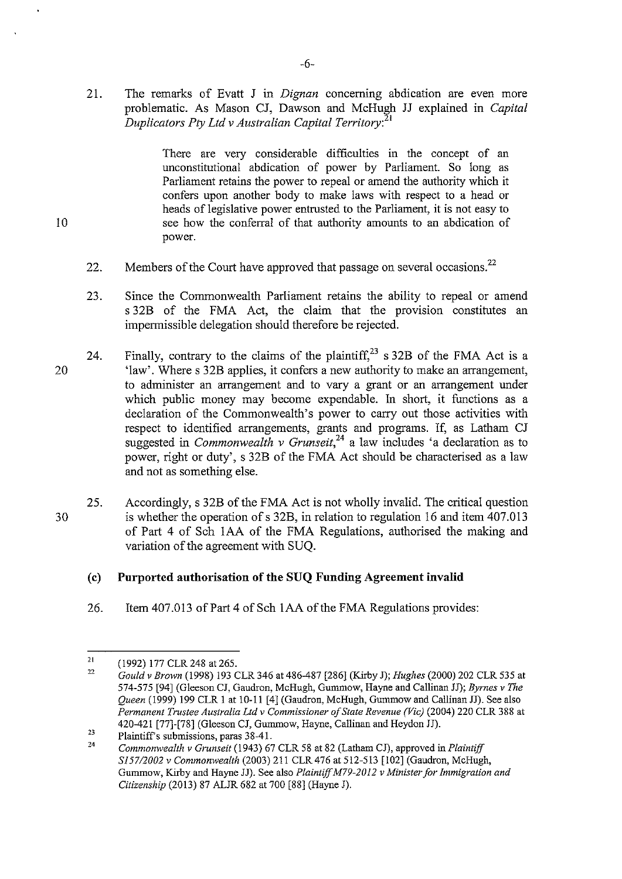21. The remarks of Evatt J in *Dignan* concerning abdication are even more problematic. As Mason CJ, Dawson and McHugh JJ explained in *Capital Duplicators Pty Ltd v Australian Capital Territory:* <sup>21</sup>

> There are very considerable difficulties in the concept of an unconstitutional abdication of power by Parliament. So long as Parliament retains the power to repeal or amend the authority which it confers upon another body to make laws with respect to a head or heads of legislative power entrusted to the Parliament, it is not easy to see how the conferral of that authority amounts to an abdication of power.

- 22. Members of the Court have approved that passage on several occasions.<sup>22</sup>
- 23. Since the Commonwealth Parliament retains the ability to repeal or amend s 32B of the FMA Act, the claim that the provision constitutes an impermissible delegation should therefore be rejected.
- 20 24. Finally, contrary to the claims of the plaintiff,<sup>23</sup> s 32B of the FMA Act is a 'law'. Where s 32B applies, it confers a new authority to make an arrangement, to administer an arrangement and to vary a grant or an arrangement under which public money may become expendable. In short, it functions as a declaration of the Commonwealth's power to carry out those activities with respect to identified arrangements, grants and programs. If, as Latham CJ suggested in *Commonwealth v Grunseit,<sup>24</sup>* a law includes 'a declaration as to power, right or duty', s 32B of the FMA Act should be characterised as a law and not as something else.
- 30 25. Accordingly, s 32B of the FMA Act is not wholly invalid. The critical question is whether the operation of s 32B, in relation to regulation 16 and item 407.013 of Part 4 of Sch lAA of the FMA Regulations, authorised the making and variation of the agreement with SUQ.

### (c) **Purported authorisation of the SUQ Funding Agreement invalid**

26. Item 407.013 of Part 4 of Sch 1AA of the FMA Regulations provides:

<sup>21</sup>  (1992) 177 CLR 248 at 265.

<sup>22</sup>  *Gould v Brown* (1998) 193 CLR 346 at 486-487 [286] (Kirby J); *Hughes* (2000) 202 CLR 535 at 574-575 [94] (Gleeson CJ, Gaudron, McHugh, Gununow, Hayne and Callinan JJ); *Byrnes v The Queen* (1999) 199 CLR I at 10-11 [4] (Gaudron, McHugh, Gummow and Callinan JJ). See also Permanent Trustee Australia Ltd v Commissioner of State Revenue (Vic) (2004) 220 CLR 388 at 420-421 [77]-[78] (Gleeson CJ, Gummow, Hayne, Callinan and Heydon JJ).

<sup>23</sup>  Plaintiff's submissions, paras 38-41.

<sup>24</sup>  *Commonwealth v Grunseit* (1943) 67 CLR 58 at 82 (Latham CJ), approved in *Plaintiff SJ57/2002 v Commonwealth* (2003) 211 CLR 476 at 512-513 [102] (Gaudron, McHugh, Gummow, Kirby and Hayne JJ). See also *Plaintiff M79-2012 v Minister for Immigration and Citizenship* (2013) 87 ALJR 682 at 700 [88] (Hayne J).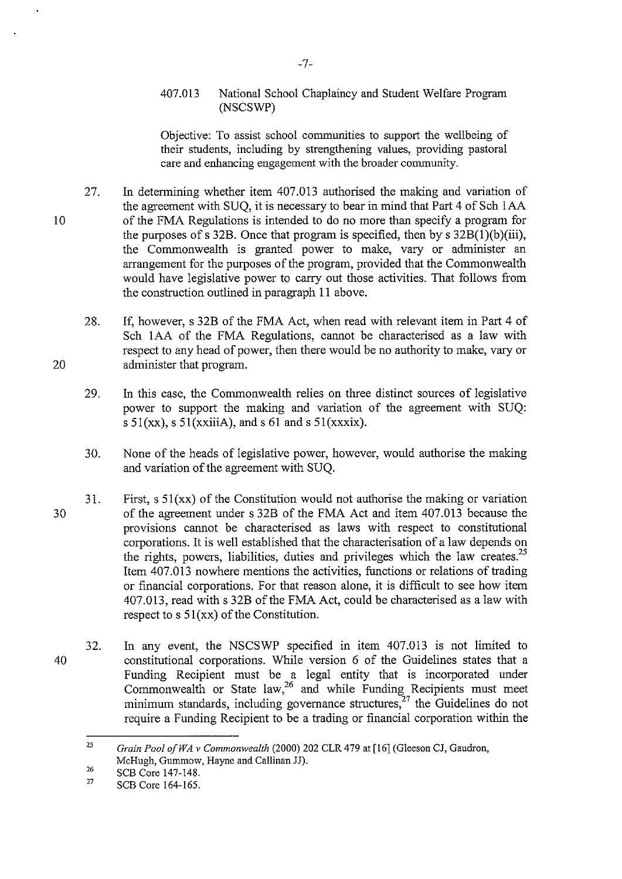### 407.013 National School Chaplaincy and Student Welfare Program (NSCSWP)

Objective: To assist school communities to support the wellbeing of their students, including by strengthening values, providing pastoral care and enhancing engagement with the broader community.

- 27. In determining whether item 407.013 authorised the making and variation of the agreement with SUQ, it is necessary to bear in mind that Part 4 of Sch IAA of the FMA Regulations is intended to do no more than specify a program for the purposes of s 32B. Once that program is specified, then by s  $32B(1)(b)$  (iii), the Commonwealth is granted power to make, vary or administer an arrangement for the purposes of the program, provided that the Commonwealth would have legislative power to carry out those activities. That follows from the construction outlined in paragraph II above.
	- 28. If, however, s 32B of the FMA Act, when read with relevant item in Part 4 of Sch lAA of the FMA Regulations, cannot be characterised as a law with respect to any head of power, then there would be no authority to make, vary or administer that program.
	- 29. In this case, the Commonwealth relies on three distinct sources of legislative power to support the making and variation of the agreement with SUQ: s  $51(xx)$ , s  $51(xxiiiA)$ , and s  $61$  and s  $51(xxix)$ .
	- 30. None of the heads of legislative power, however, would authorise the making and variation of the agreement with SUQ.
- 30 31. First,  $s \, 51(xx)$  of the Constitution would not authorise the making or variation of the agreement under s 32B of the FMA Act and item 407.013 because the provisions cannot be characterised as laws with respect to constitutional corporations. It is well established that the characterisation of a law depends on the rights, powers, liabilities, duties and privileges which the law creates.<sup>25</sup> Item 407.013 nowhere mentions the activities, functions or relations of trading or financial corporations. For that reason alone, it is difficult to see how item 407.013, read with s 32B of the FMA Act, could be characterised as a law with respect to s  $51(xx)$  of the Constitution.
- 40 32. In any event, the NSCSWP specified in item 407.013 is not limited to constitutional corporations. While version 6 of the Guidelines states that a Funding Recipient must be a legal entity that is incorporated under Commonwealth or State law, $26$  and while Funding Recipients must meet minimum standards, including governance structures, $27$  the Guidelines do not require a Funding Recipient to be a trading or financial corporation within the

20

<sup>25</sup>  *Grain Pool ofWA v Commonwealth* (2000) 202 CLR 479 at [16] (Gleeson CJ, Gaudron, McHugh, Gummow, Hayne and Callinan JJ).

<sup>26</sup>  SCB Core 147-148.

<sup>27</sup>  SCB Core 164-165.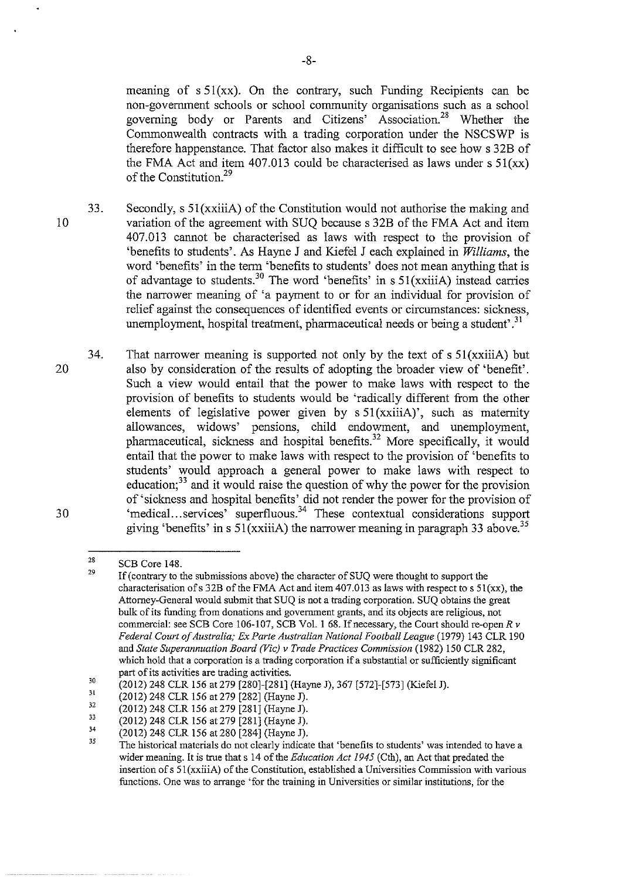meaning of s 51(xx). On the contrary, such Funding Recipients can be non-government schools or school community organisations such as a school governing body or Parents and Citizens' Association.28 Whether the Commonwealth contracts with a trading corporation under the NSCSWP is therefore happenstance. That factor also makes it difficult to see how s 32B of the FMA Act and item 407.013 could be characterised as laws under  $s \frac{51}{xx}$ of the Constitution<sup>29</sup>

- 10 33. Secondly, s 51(xxiiiA) of the Constitution would not authorise the making and variation of the agreement with SUQ because s 32B of the FMA Act and item 407.013 cannot be characterised as laws with respect to the provision of 'benefits to students'. As Hayne J and Kiefel J each explained in *Williams,* the word 'benefits' in the term 'benefits to students' does not mean anything that is of advantage to students.<sup>30</sup> The word 'benefits' in s 51(xxiiiA) instead carries the narrower meaning of 'a payment to or for an individual for provision of relief against the consequences of identified events or circumstances: sickness, unemployment, hospital treatment, pharmaceutical needs or being a student'.<sup>31</sup>
- 20 30 34. That narrower meaning is supported not only by the text of  $s$  51(xxiiiA) but also by consideration of the results of adopting the broader view of 'benefit'. Such a view would entail that the power to make laws with respect to the provision of benefits to students would be 'radically different from the other elements of legislative power given by s 51(xxiiiA)', such as maternity allowances, widows' pensions, child endowment, and unemployment, pharmaceutical, sickness and hospital benefits.<sup>32</sup> More specifically, it would entail that the power to make laws with respect to the provision of 'benefits to students' would approach a general power to make laws with respect to education; $^{33}$  and it would raise the question of why the power for the provision of' sickness and hospital benefits' did not render the power for the provision of 'medical ... services' superfluous. 34 These contextual considerations support giving 'benefits' in s  $51(xxii)$  the narrower meaning in paragraph 33 above.<sup>35</sup>

<sup>28</sup>  29 SCB Core 148.

If (contrary to the submissions above) the character of SUQ were thought to support the characterisation of s 32B of the FMA Act and item 407.013 as laws with respect to s  $51(xx)$ , the Attorney-General would submit that SUQ is not a trading corporation. SUQ obtains the great bulk of its funding from donations and government grants, and its objects are religious, not commercial: see SCB Core 106-107, SCB Vol. I 68. If necessary, the Conrt should re-open *R v Federal Court of Australia; Ex Parte Australian National Football League* (1979) 143 CLR 190 and *State Superannuation Board (Vic) v Trade Practices Commission* (1982) !50 CLR 282, which hold that a corporation is a trading corporation if a substantial or sufficiently significant part of its activities are trading activities.

<sup>30</sup>  (2012) 248 CLR !56 at 279 [280]-[281] (Hayne J), 367 [572]-[573] (K.iefel J).

<sup>3</sup>l (2012) 248 CLR !56 at 279 [282] (Hayne J).

<sup>32</sup>  (2012) 248 CLR 156 at 279 [281] (Hayne J).

<sup>33</sup>  (2012) 248 CLR !56 at279 [281] (Hayne J).

<sup>34</sup>  (2012) 248 CLR !56 at 280 [284] (Hayne J).

<sup>35</sup>  The historical materials do not clearly indicate that 'benefits to students' was intended to have a wider meaning. It is true that s 14 of the *Education Act 1945* (Cth), an Act that predated the insertion ofs Sl(xxiiiA) of the Constitution, established a Universities Commission with various **functions. One was to arrange "for the training in Universities or similar institutions, for the**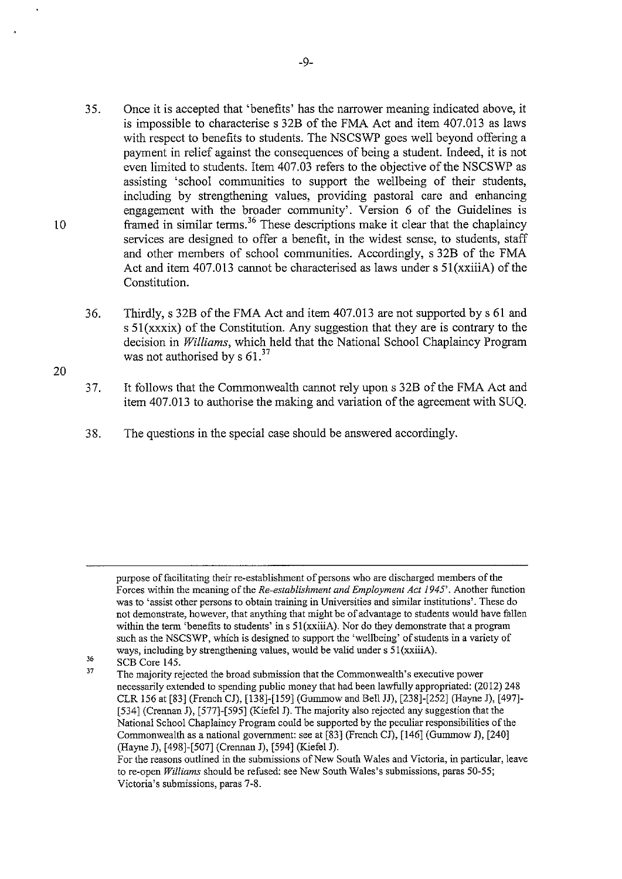- 35. Once it is accepted that 'benefits' has the narrower meaning indicated above, it is impossible to characterise s 32B of the FMA Act and item 407.013 as laws with respect to benefits to students. The NSCSWP goes well beyond offering a payment in relief against the consequences of being a student. lndeed, it is not even limited to students. Item 407.03 refers to the objective of the NSCSWP as assisting 'school communities to support the wellbeing of their students, including by strengthening values, providing pastoral care and enhancing engagement with the broader community'. Version 6 of the Guidelines is framed in similar terms.<sup>36</sup> These descriptions make it clear that the chaplaincy services are designed to offer a benefit, in the widest sense, to students, staff and other members of school communities. Accordingly, s 32B of the FMA Act and item 407.013 cannot be characterised as laws under s Sl(xxiiiA) of the Constitution.
- 36. Thirdly, s 32B of the FMA Act and item 407.013 are not supported by s 61 and s 51(xxxix) of the Constitution. Any suggestion that they are is contrary to the decision in *Williams,* which held that the National School Chaplaincy Program was not authorised by s  $61<sup>37</sup>$
- 37. It follows that the Commonwealth cannot rely upon s 32B of the FMA Act and item 407.013 to authorise the making and variation of the agreement with SUQ.
- 38. The questions in the special case should be answered accordingly.

20

purpose of facilitating their re-establishment of persons who are discharged members of the Forces within the meaning of the *Re-establishment and Employment Act 1945'.* Another function was to 'assist other persons to obtain training in Universities and similar institutions'. These do not demonstrate, however, that anything that might be of advantage to students would have fallen within the term 'benefits to students' in s 51(xxiiiA). Nor do they demonstrate that a program such as the NSCSWP, which is designed to support the 'wellbeing' of students in a variety of ways, including by strengthening values, would be valid under s 51(xxiiiA).

<sup>36</sup>  37

SCB Core 145. The majority rejected the broad submission that the Commonwealth's executive power necessarily extended to spending public money that had been lawfully appropriated: (2012) 248 CLR !56 at [83] (French CJ), [138]-[159] (Gummow and Bell JJ), [238]-[252] (Hayne J), [497]- [534] (Crennan J), [577]-[595] (Kiefel J). The majority also rejected any suggestion that the National School Chaplaincy Program could be supported by the peculiar responsibilities of the Commonwealth as a national government: see at [83] (French CJ), [146] (Gummow J), [240] (Hayne J), [498]-[507] (Crennan J), [594] (Kiefel J).

For the reasons outlined in the submissions of New South Wales and Victoria, in particular, leave to re-open *Williams* should be refused: see New South Wales's submissions, paras 50-55; **Victoria's submissions, paras 7-8.**